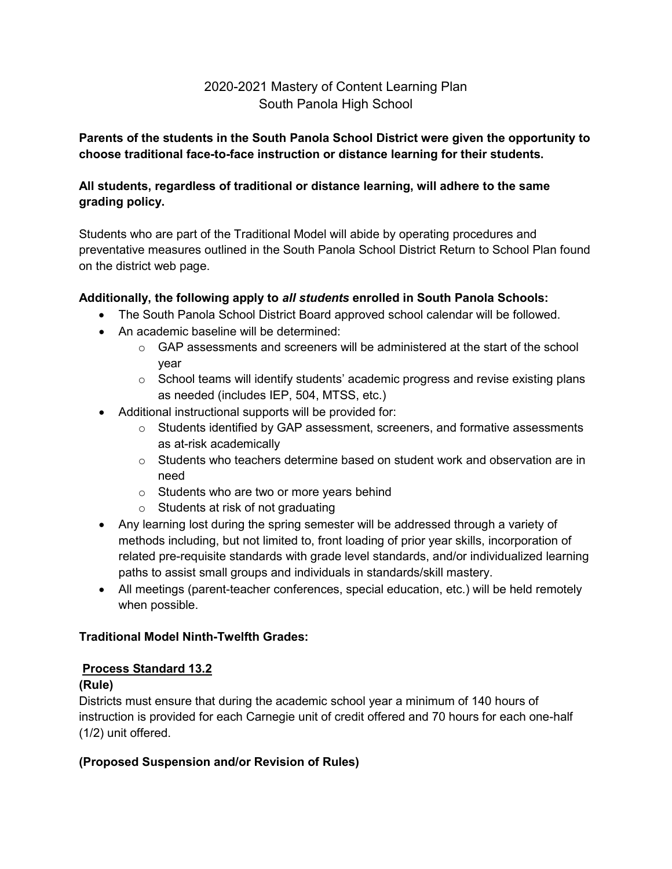# 2020-2021 Mastery of Content Learning Plan South Panola High School

### **Parents of the students in the South Panola School District were given the opportunity to choose traditional face-to-face instruction or distance learning for their students.**

## **All students, regardless of traditional or distance learning, will adhere to the same grading policy.**

Students who are part of the Traditional Model will abide by operating procedures and preventative measures outlined in the South Panola School District Return to School Plan found on the district web page.

## **Additionally, the following apply to** *all students* **enrolled in South Panola Schools:**

- The South Panola School District Board approved school calendar will be followed.
- An academic baseline will be determined:
	- $\circ$  GAP assessments and screeners will be administered at the start of the school year
	- o School teams will identify students' academic progress and revise existing plans as needed (includes IEP, 504, MTSS, etc.)
- Additional instructional supports will be provided for:
	- $\circ$  Students identified by GAP assessment, screeners, and formative assessments as at-risk academically
	- $\circ$  Students who teachers determine based on student work and observation are in need
	- o Students who are two or more years behind
	- o Students at risk of not graduating
- Any learning lost during the spring semester will be addressed through a variety of methods including, but not limited to, front loading of prior year skills, incorporation of related pre-requisite standards with grade level standards, and/or individualized learning paths to assist small groups and individuals in standards/skill mastery.
- All meetings (parent-teacher conferences, special education, etc.) will be held remotely when possible.

#### **Traditional Model Ninth-Twelfth Grades:**

#### **Process Standard 13.2**

#### **(Rule)**

Districts must ensure that during the academic school year a minimum of 140 hours of instruction is provided for each Carnegie unit of credit offered and 70 hours for each one-half (1/2) unit offered.

#### **(Proposed Suspension and/or Revision of Rules)**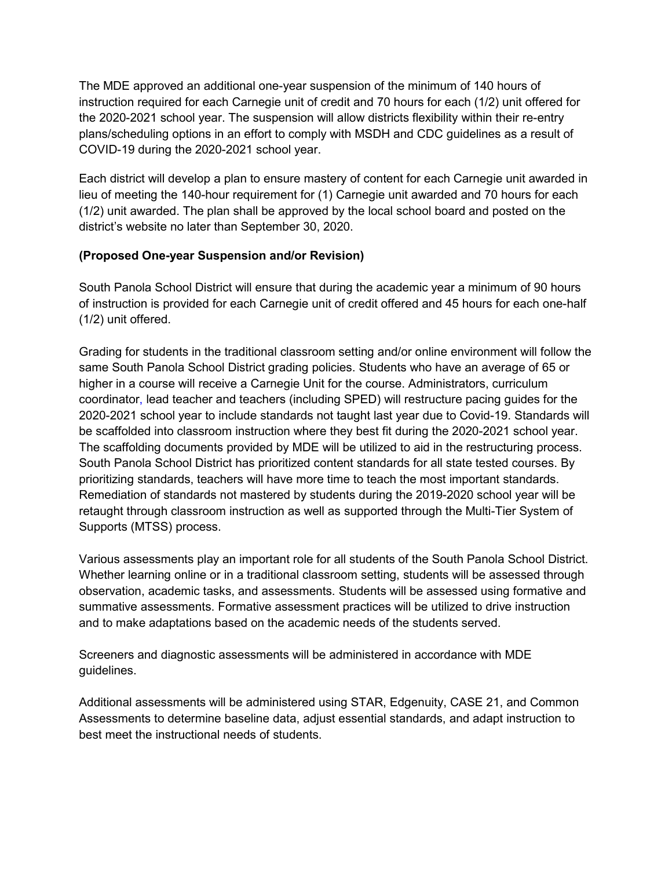The MDE approved an additional one-year suspension of the minimum of 140 hours of instruction required for each Carnegie unit of credit and 70 hours for each (1/2) unit offered for the 2020-2021 school year. The suspension will allow districts flexibility within their re-entry plans/scheduling options in an effort to comply with MSDH and CDC guidelines as a result of COVID-19 during the 2020-2021 school year.

Each district will develop a plan to ensure mastery of content for each Carnegie unit awarded in lieu of meeting the 140-hour requirement for (1) Carnegie unit awarded and 70 hours for each (1/2) unit awarded. The plan shall be approved by the local school board and posted on the district's website no later than September 30, 2020.

#### **(Proposed One-year Suspension and/or Revision)**

South Panola School District will ensure that during the academic year a minimum of 90 hours of instruction is provided for each Carnegie unit of credit offered and 45 hours for each one-half (1/2) unit offered.

Grading for students in the traditional classroom setting and/or online environment will follow the same South Panola School District grading policies. Students who have an average of 65 or higher in a course will receive a Carnegie Unit for the course. Administrators, curriculum coordinator, lead teacher and teachers (including SPED) will restructure pacing guides for the 2020-2021 school year to include standards not taught last year due to Covid-19. Standards will be scaffolded into classroom instruction where they best fit during the 2020-2021 school year. The scaffolding documents provided by MDE will be utilized to aid in the restructuring process. South Panola School District has prioritized content standards for all state tested courses. By prioritizing standards, teachers will have more time to teach the most important standards. Remediation of standards not mastered by students during the 2019-2020 school year will be retaught through classroom instruction as well as supported through the Multi-Tier System of Supports (MTSS) process.

Various assessments play an important role for all students of the South Panola School District. Whether learning online or in a traditional classroom setting, students will be assessed through observation, academic tasks, and assessments. Students will be assessed using formative and summative assessments. Formative assessment practices will be utilized to drive instruction and to make adaptations based on the academic needs of the students served.

Screeners and diagnostic assessments will be administered in accordance with MDE guidelines.

Additional assessments will be administered using STAR, Edgenuity, CASE 21, and Common Assessments to determine baseline data, adjust essential standards, and adapt instruction to best meet the instructional needs of students.